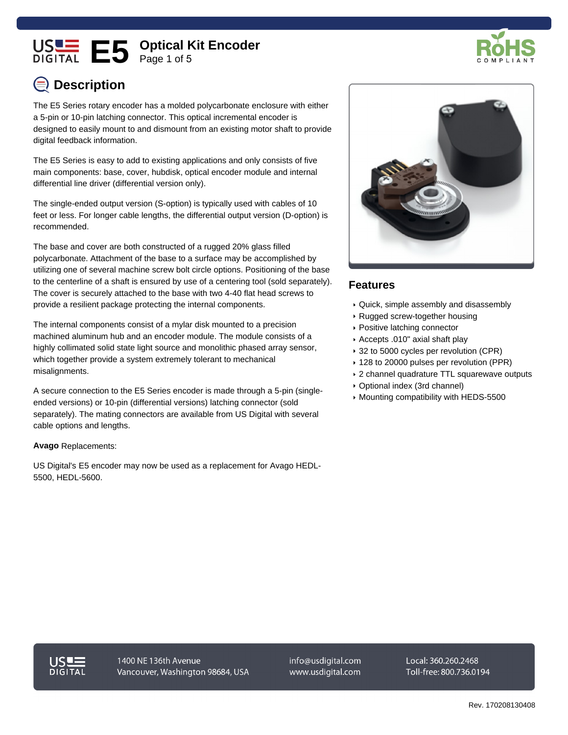



# **Description**

The E5 Series rotary encoder has a molded polycarbonate enclosure with either a 5-pin or 10-pin latching connector. This optical incremental encoder is designed to easily mount to and dismount from an existing motor shaft to provide digital feedback information.

The E5 Series is easy to add to existing applications and only consists of five main components: base, cover, hubdisk, optical encoder module and internal differential line driver (differential version only).

The single-ended output version (S-option) is typically used with cables of 10 feet or less. For longer cable lengths, the differential output version (D-option) is recommended.

The base and cover are both constructed of a rugged 20% glass filled polycarbonate. Attachment of the base to a surface may be accomplished by utilizing one of several machine screw bolt circle options. Positioning of the base to the centerline of a shaft is ensured by use of a centering tool (sold separately). The cover is securely attached to the base with two 4-40 flat head screws to provide a resilient package protecting the internal components.

The internal components consist of a mylar disk mounted to a precision machined aluminum hub and an encoder module. The module consists of a highly collimated solid state light source and monolithic phased array sensor, which together provide a system extremely tolerant to mechanical misalignments.

A secure connection to the E5 Series encoder is made through a 5-pin (singleended versions) or 10-pin (differential versions) latching connector (sold separately). The mating connectors are available from US Digital with several cable options and lengths.

#### **Avago** Replacements:

US Digital's E5 encoder may now be used as a replacement for Avago HEDL-5500, HEDL-5600.



#### **Features**

- Quick, simple assembly and disassembly
- Rugged screw-together housing
- Positive latching connector
- Accepts .010" axial shaft play
- 32 to 5000 cycles per revolution (CPR)
- ▶ 128 to 20000 pulses per revolution (PPR)
- 2 channel quadrature TTL squarewave outputs
- Optional index (3rd channel)
- Mounting compatibility with HEDS-5500



1400 NE 136th Avenue Vancouver, Washington 98684, USA info@usdigital.com www.usdigital.com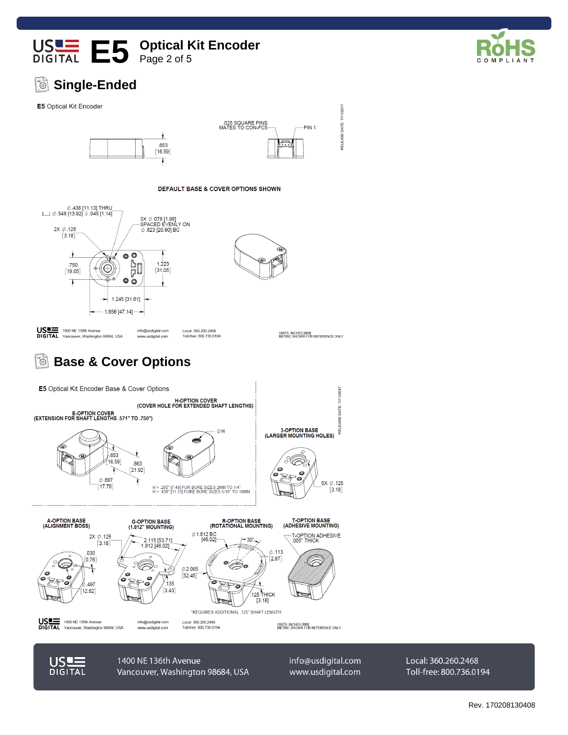

#### **Single-Ended** ුම්

# C O M F





**US**UE

1400 NE 136th Avenue Vancouver, Washington 98684, USA info@usdigital.com www.usdigital.com

7/11/2017

RELEASE DATE: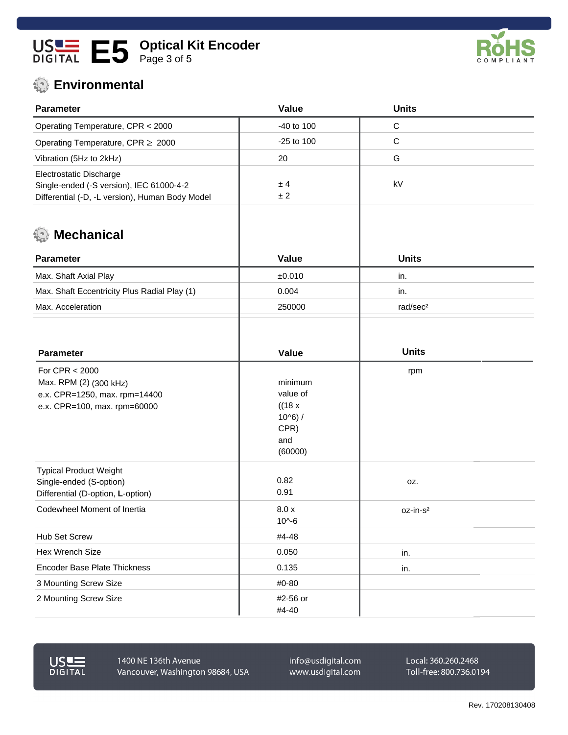



# **Environmental**

| <b>Parameter</b>                                                                                                       | Value                                                                    | <b>Units</b>         |  |  |
|------------------------------------------------------------------------------------------------------------------------|--------------------------------------------------------------------------|----------------------|--|--|
| Operating Temperature, CPR < 2000                                                                                      | -40 to 100                                                               | $\mathbf C$          |  |  |
| Operating Temperature, CPR ≥ 2000                                                                                      | -25 to 100                                                               | $\mathbf C$          |  |  |
| Vibration (5Hz to 2kHz)                                                                                                | 20                                                                       | G                    |  |  |
| Electrostatic Discharge<br>Single-ended (-S version), IEC 61000-4-2<br>Differential (-D, -L version), Human Body Model | ± 4<br>± 2                                                               | kV                   |  |  |
| <b>Mechanical</b>                                                                                                      |                                                                          |                      |  |  |
| <b>Parameter</b>                                                                                                       | Value                                                                    | <b>Units</b>         |  |  |
| Max. Shaft Axial Play                                                                                                  | ±0.010                                                                   | in.                  |  |  |
| Max. Shaft Eccentricity Plus Radial Play (1)                                                                           | 0.004                                                                    | in.                  |  |  |
| Max. Acceleration                                                                                                      | 250000                                                                   | rad/sec <sup>2</sup> |  |  |
| <b>Parameter</b>                                                                                                       | Value                                                                    | <b>Units</b>         |  |  |
| For $CPR < 2000$<br>Max. RPM (2) (300 kHz)<br>e.x. CPR=1250, max. rpm=14400<br>e.x. CPR=100, max. rpm=60000            | minimum<br>value of<br>((18 x)<br>$10^{6}$ ) /<br>CPR)<br>and<br>(60000) | rpm                  |  |  |
| <b>Typical Product Weight</b><br>Single-ended (S-option)<br>Differential (D-option, L-option)                          | 0.82<br>0.91                                                             | OZ.                  |  |  |
| Codewheel Moment of Inertia                                                                                            | 8.0 x<br>$10^{-6}$                                                       | oz-in-s <sup>2</sup> |  |  |
| <b>Hub Set Screw</b>                                                                                                   | #4-48                                                                    |                      |  |  |
| Hex Wrench Size                                                                                                        | 0.050                                                                    | in.                  |  |  |
| <b>Encoder Base Plate Thickness</b>                                                                                    | 0.135                                                                    | in.                  |  |  |
| 3 Mounting Screw Size                                                                                                  | #0-80                                                                    |                      |  |  |
| 2 Mounting Screw Size                                                                                                  | #2-56 or<br>#4-40                                                        |                      |  |  |



1400 NE 136th Avenue Vancouver, Washington 98684, USA info@usdigital.com www.usdigital.com Local: 360.260.2468 Toll-free: 800.736.0194

Rev. 170208130408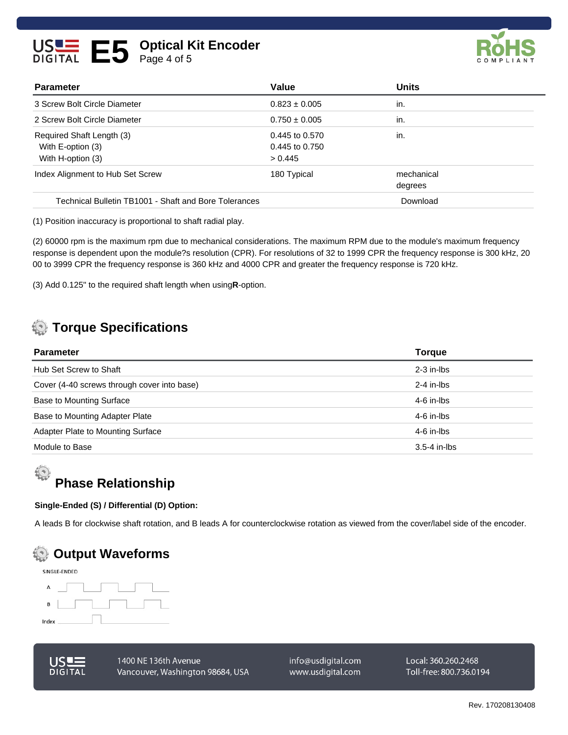



| <b>Parameter</b>                                      | Value              | <b>Units</b> |  |
|-------------------------------------------------------|--------------------|--------------|--|
| 3 Screw Bolt Circle Diameter                          | $0.823 \pm 0.005$  | in.          |  |
| 2 Screw Bolt Circle Diameter                          | $0.750 \pm 0.005$  | in.          |  |
| Required Shaft Length (3)                             | $0.445$ to $0.570$ | in.          |  |
| With E-option (3)                                     | 0.445 to 0.750     |              |  |
| With H-option (3)                                     | > 0.445            |              |  |
| Index Alignment to Hub Set Screw                      | 180 Typical        | mechanical   |  |
|                                                       |                    | degrees      |  |
| Technical Bulletin TB1001 - Shaft and Bore Tolerances |                    | Download     |  |

(1) Position inaccuracy is proportional to shaft radial play.

(2) 60000 rpm is the maximum rpm due to mechanical considerations. The maximum RPM due to the module's maximum frequency response is dependent upon the module?s resolution (CPR). For resolutions of 32 to 1999 CPR the frequency response is 300 kHz, 20 00 to 3999 CPR the frequency response is 360 kHz and 4000 CPR and greater the frequency response is 720 kHz.

(3) Add 0.125" to the required shaft length when using **R**-option.

## **Torque Specifications**

| <b>Parameter</b>                            | <b>Torgue</b>    |
|---------------------------------------------|------------------|
| Hub Set Screw to Shaft                      | $2-3$ in-lbs     |
| Cover (4-40 screws through cover into base) | 2-4 in-lbs       |
| Base to Mounting Surface                    | 4-6 in-lbs       |
| Base to Mounting Adapter Plate              | 4-6 in-lbs       |
| Adapter Plate to Mounting Surface           | 4-6 in-lbs       |
| Module to Base                              | $3.5 - 4$ in-lbs |

# 

# **Phase Relationship**

#### **Single-Ended (S) / Differential (D) Option:**

A leads B for clockwise shaft rotation, and B leads A for counterclockwise rotation as viewed from the cover/label side of the encoder.







1400 NE 136th Avenue Vancouver, Washington 98684, USA info@usdigital.com www.usdigital.com